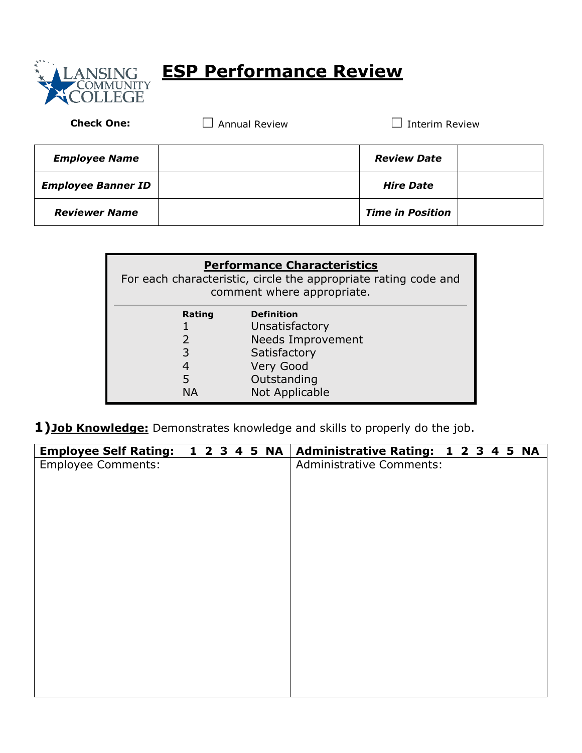

## **ESP Performance Review**

Check One: □ Annual Review □ Interim Review

| <b>Employee Name</b>      | <b>Review Date</b>      |  |
|---------------------------|-------------------------|--|
| <b>Employee Banner ID</b> | <b>Hire Date</b>        |  |
| <b>Reviewer Name</b>      | <b>Time in Position</b> |  |

| <b>Performance Characteristics</b><br>For each characteristic, circle the appropriate rating code and<br>comment where appropriate. |                                     |  |  |  |  |  |  |  |  |  |
|-------------------------------------------------------------------------------------------------------------------------------------|-------------------------------------|--|--|--|--|--|--|--|--|--|
| Rating                                                                                                                              | <b>Definition</b><br>Unsatisfactory |  |  |  |  |  |  |  |  |  |
| $\mathcal{P}$                                                                                                                       | <b>Needs Improvement</b>            |  |  |  |  |  |  |  |  |  |
| 3                                                                                                                                   | Satisfactory                        |  |  |  |  |  |  |  |  |  |
| 4                                                                                                                                   | Very Good                           |  |  |  |  |  |  |  |  |  |
| 5                                                                                                                                   | Outstanding                         |  |  |  |  |  |  |  |  |  |
| NΔ                                                                                                                                  | Not Applicable                      |  |  |  |  |  |  |  |  |  |

**1)Job Knowledge:** Demonstrates knowledge and skills to properly do the job.

| <b>Employee Self Rating:</b> |  |  | 1 2 3 4 5 NA | Administrative Rating: 1 2 3 4 5 NA |  |  |  |
|------------------------------|--|--|--------------|-------------------------------------|--|--|--|
| <b>Employee Comments:</b>    |  |  |              | <b>Administrative Comments:</b>     |  |  |  |
|                              |  |  |              |                                     |  |  |  |
|                              |  |  |              |                                     |  |  |  |
|                              |  |  |              |                                     |  |  |  |
|                              |  |  |              |                                     |  |  |  |
|                              |  |  |              |                                     |  |  |  |
|                              |  |  |              |                                     |  |  |  |
|                              |  |  |              |                                     |  |  |  |
|                              |  |  |              |                                     |  |  |  |
|                              |  |  |              |                                     |  |  |  |
|                              |  |  |              |                                     |  |  |  |
|                              |  |  |              |                                     |  |  |  |
|                              |  |  |              |                                     |  |  |  |
|                              |  |  |              |                                     |  |  |  |
|                              |  |  |              |                                     |  |  |  |
|                              |  |  |              |                                     |  |  |  |
|                              |  |  |              |                                     |  |  |  |
|                              |  |  |              |                                     |  |  |  |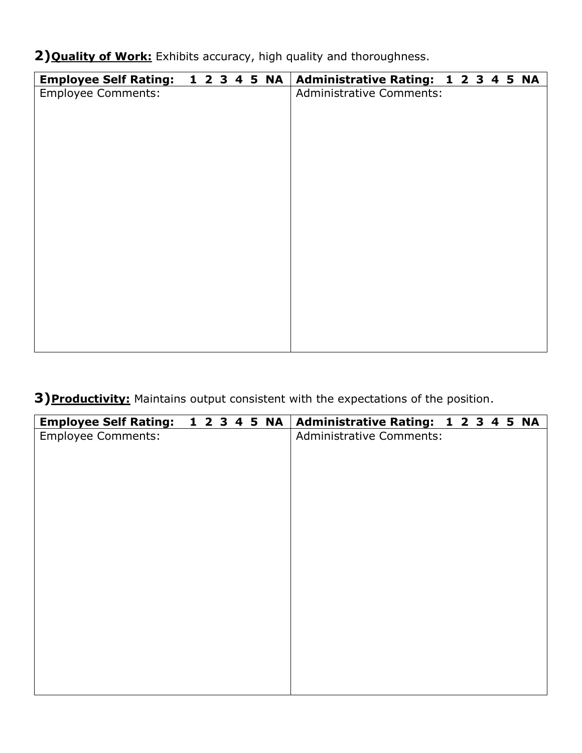**2)Quality of Work:** Exhibits accuracy, high quality and thoroughness.

| <b>Employee Self Rating:</b> | 1 2 3 4 5 NA |  |  | Administrative Rating: 1 2 3 4 5 NA |
|------------------------------|--------------|--|--|-------------------------------------|
| <b>Employee Comments:</b>    |              |  |  | <b>Administrative Comments:</b>     |
|                              |              |  |  |                                     |
|                              |              |  |  |                                     |
|                              |              |  |  |                                     |
|                              |              |  |  |                                     |
|                              |              |  |  |                                     |
|                              |              |  |  |                                     |
|                              |              |  |  |                                     |
|                              |              |  |  |                                     |
|                              |              |  |  |                                     |
|                              |              |  |  |                                     |
|                              |              |  |  |                                     |
|                              |              |  |  |                                     |
|                              |              |  |  |                                     |
|                              |              |  |  |                                     |
|                              |              |  |  |                                     |
|                              |              |  |  |                                     |
|                              |              |  |  |                                     |
|                              |              |  |  |                                     |
|                              |              |  |  |                                     |

**3)Productivity:** Maintains output consistent with the expectations of the position.

| <b>Employee Self Rating:</b> |  |  | 1 2 3 4 5 NA | Administrative Rating: 1 2 3 4 5 NA |
|------------------------------|--|--|--------------|-------------------------------------|
| <b>Employee Comments:</b>    |  |  |              | <b>Administrative Comments:</b>     |
|                              |  |  |              |                                     |
|                              |  |  |              |                                     |
|                              |  |  |              |                                     |
|                              |  |  |              |                                     |
|                              |  |  |              |                                     |
|                              |  |  |              |                                     |
|                              |  |  |              |                                     |
|                              |  |  |              |                                     |
|                              |  |  |              |                                     |
|                              |  |  |              |                                     |
|                              |  |  |              |                                     |
|                              |  |  |              |                                     |
|                              |  |  |              |                                     |
|                              |  |  |              |                                     |
|                              |  |  |              |                                     |
|                              |  |  |              |                                     |
|                              |  |  |              |                                     |
|                              |  |  |              |                                     |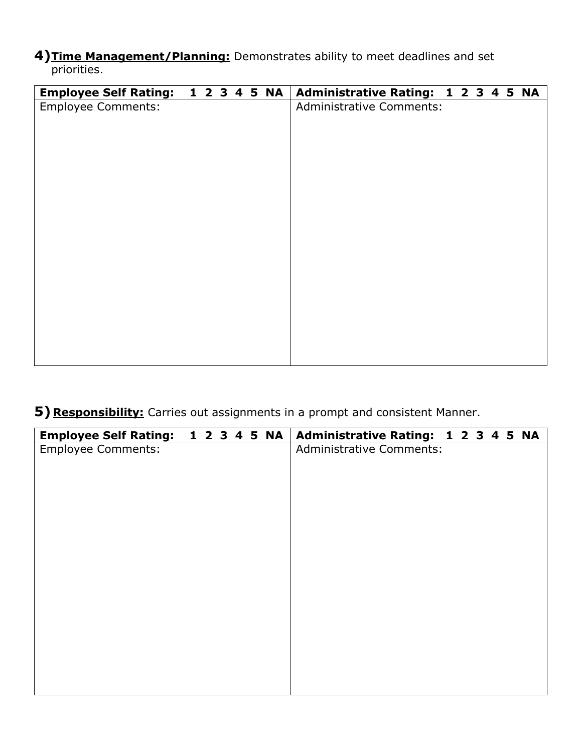**4)Time Management/Planning:** Demonstrates ability to meet deadlines and set priorities.

| <b>Employee Self Rating:</b> |  |  | 1 2 3 4 5 NA | Administrative Rating: 1 2 3 4 5 NA |
|------------------------------|--|--|--------------|-------------------------------------|
| <b>Employee Comments:</b>    |  |  |              | <b>Administrative Comments:</b>     |
|                              |  |  |              |                                     |
|                              |  |  |              |                                     |
|                              |  |  |              |                                     |
|                              |  |  |              |                                     |
|                              |  |  |              |                                     |
|                              |  |  |              |                                     |
|                              |  |  |              |                                     |
|                              |  |  |              |                                     |
|                              |  |  |              |                                     |
|                              |  |  |              |                                     |
|                              |  |  |              |                                     |
|                              |  |  |              |                                     |
|                              |  |  |              |                                     |
|                              |  |  |              |                                     |
|                              |  |  |              |                                     |
|                              |  |  |              |                                     |
|                              |  |  |              |                                     |
|                              |  |  |              |                                     |

## **5) Responsibility:** Carries out assignments in a prompt and consistent Manner.

| <b>Employee Self Rating:</b> |  |  | 1 2 3 4 5 NA | Administrative Rating: 1 2 3 4 5 NA |  |  |  |
|------------------------------|--|--|--------------|-------------------------------------|--|--|--|
| <b>Employee Comments:</b>    |  |  |              | <b>Administrative Comments:</b>     |  |  |  |
|                              |  |  |              |                                     |  |  |  |
|                              |  |  |              |                                     |  |  |  |
|                              |  |  |              |                                     |  |  |  |
|                              |  |  |              |                                     |  |  |  |
|                              |  |  |              |                                     |  |  |  |
|                              |  |  |              |                                     |  |  |  |
|                              |  |  |              |                                     |  |  |  |
|                              |  |  |              |                                     |  |  |  |
|                              |  |  |              |                                     |  |  |  |
|                              |  |  |              |                                     |  |  |  |
|                              |  |  |              |                                     |  |  |  |
|                              |  |  |              |                                     |  |  |  |
|                              |  |  |              |                                     |  |  |  |
|                              |  |  |              |                                     |  |  |  |
|                              |  |  |              |                                     |  |  |  |
|                              |  |  |              |                                     |  |  |  |
|                              |  |  |              |                                     |  |  |  |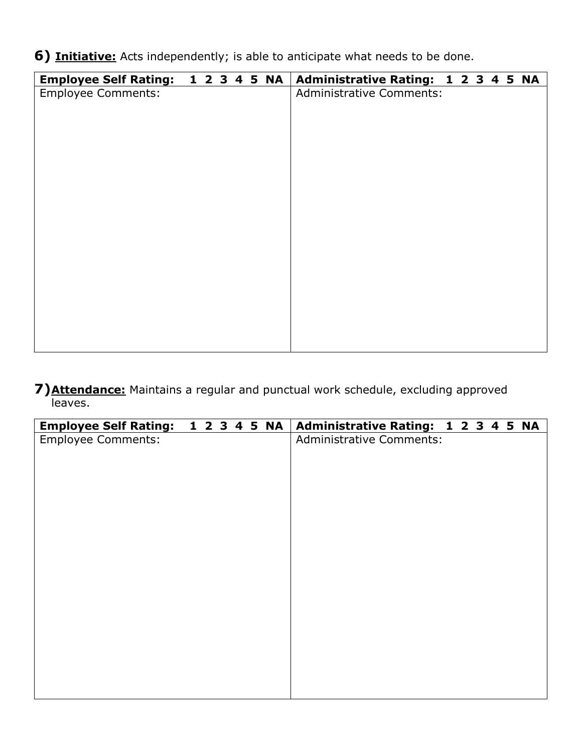**6) Initiative:** Acts independently; is able to anticipate what needs to be done.

| Employee Self Rating: 1 2 3 4 5 NA |  |  | Administrative Rating: 1 2 3 4 5 NA |  |  |  |
|------------------------------------|--|--|-------------------------------------|--|--|--|
| <b>Employee Comments:</b>          |  |  | <b>Administrative Comments:</b>     |  |  |  |
|                                    |  |  |                                     |  |  |  |
|                                    |  |  |                                     |  |  |  |
|                                    |  |  |                                     |  |  |  |
|                                    |  |  |                                     |  |  |  |
|                                    |  |  |                                     |  |  |  |
|                                    |  |  |                                     |  |  |  |
|                                    |  |  |                                     |  |  |  |
|                                    |  |  |                                     |  |  |  |
|                                    |  |  |                                     |  |  |  |
|                                    |  |  |                                     |  |  |  |
|                                    |  |  |                                     |  |  |  |
|                                    |  |  |                                     |  |  |  |
|                                    |  |  |                                     |  |  |  |
|                                    |  |  |                                     |  |  |  |
|                                    |  |  |                                     |  |  |  |
|                                    |  |  |                                     |  |  |  |
|                                    |  |  |                                     |  |  |  |
|                                    |  |  |                                     |  |  |  |

**7)Attendance:** Maintains a regular and punctual work schedule, excluding approved leaves.

| Employee Self Rating: 1 2 3 4 5 NA |  |  | Administrative Rating: 1 2 3 4 5 NA |
|------------------------------------|--|--|-------------------------------------|
| <b>Employee Comments:</b>          |  |  | <b>Administrative Comments:</b>     |
|                                    |  |  |                                     |
|                                    |  |  |                                     |
|                                    |  |  |                                     |
|                                    |  |  |                                     |
|                                    |  |  |                                     |
|                                    |  |  |                                     |
|                                    |  |  |                                     |
|                                    |  |  |                                     |
|                                    |  |  |                                     |
|                                    |  |  |                                     |
|                                    |  |  |                                     |
|                                    |  |  |                                     |
|                                    |  |  |                                     |
|                                    |  |  |                                     |
|                                    |  |  |                                     |
|                                    |  |  |                                     |
|                                    |  |  |                                     |
|                                    |  |  |                                     |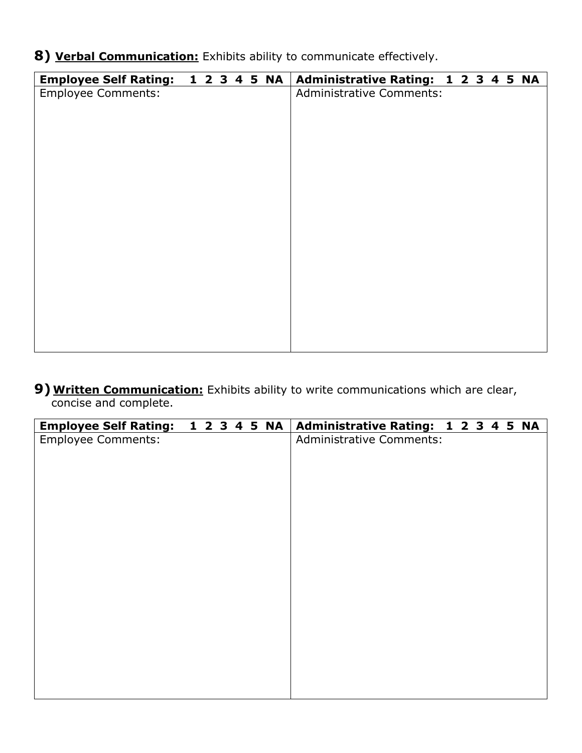**8) Verbal Communication:** Exhibits ability to communicate effectively.

| <b>Employee Comments:</b><br><b>Administrative Comments:</b> | <b>Employee Self Rating:</b> | 1 2 3 4 5 NA |  |  | Administrative Rating: 1 2 3 4 5 NA |
|--------------------------------------------------------------|------------------------------|--------------|--|--|-------------------------------------|
|                                                              |                              |              |  |  |                                     |
|                                                              |                              |              |  |  |                                     |
|                                                              |                              |              |  |  |                                     |
|                                                              |                              |              |  |  |                                     |
|                                                              |                              |              |  |  |                                     |
|                                                              |                              |              |  |  |                                     |
|                                                              |                              |              |  |  |                                     |
|                                                              |                              |              |  |  |                                     |
|                                                              |                              |              |  |  |                                     |
|                                                              |                              |              |  |  |                                     |
|                                                              |                              |              |  |  |                                     |
|                                                              |                              |              |  |  |                                     |
|                                                              |                              |              |  |  |                                     |
|                                                              |                              |              |  |  |                                     |
|                                                              |                              |              |  |  |                                     |
|                                                              |                              |              |  |  |                                     |
|                                                              |                              |              |  |  |                                     |
|                                                              |                              |              |  |  |                                     |
|                                                              |                              |              |  |  |                                     |

## **9) Written Communication:** Exhibits ability to write communications which are clear, concise and complete.

| <b>Employee Self Rating:</b> | 1 2 3 4 5 NA |  |  | Administrative Rating: 1 2 3 4 5 NA |  |
|------------------------------|--------------|--|--|-------------------------------------|--|
| <b>Employee Comments:</b>    |              |  |  | <b>Administrative Comments:</b>     |  |
|                              |              |  |  |                                     |  |
|                              |              |  |  |                                     |  |
|                              |              |  |  |                                     |  |
|                              |              |  |  |                                     |  |
|                              |              |  |  |                                     |  |
|                              |              |  |  |                                     |  |
|                              |              |  |  |                                     |  |
|                              |              |  |  |                                     |  |
|                              |              |  |  |                                     |  |
|                              |              |  |  |                                     |  |
|                              |              |  |  |                                     |  |
|                              |              |  |  |                                     |  |
|                              |              |  |  |                                     |  |
|                              |              |  |  |                                     |  |
|                              |              |  |  |                                     |  |
|                              |              |  |  |                                     |  |
|                              |              |  |  |                                     |  |
|                              |              |  |  |                                     |  |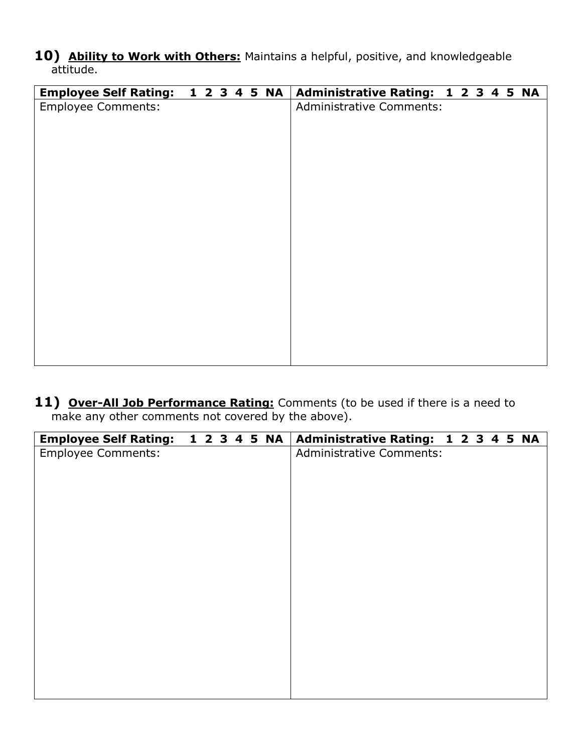**10) Ability to Work with Others:** Maintains a helpful, positive, and knowledgeable attitude.

| Employee Self Rating: 1 2 3 4 5 NA |  |  |  | Administrative Rating: 1 2 3 4 5 NA |  |
|------------------------------------|--|--|--|-------------------------------------|--|
| <b>Employee Comments:</b>          |  |  |  | <b>Administrative Comments:</b>     |  |
|                                    |  |  |  |                                     |  |
|                                    |  |  |  |                                     |  |
|                                    |  |  |  |                                     |  |
|                                    |  |  |  |                                     |  |
|                                    |  |  |  |                                     |  |
|                                    |  |  |  |                                     |  |
|                                    |  |  |  |                                     |  |
|                                    |  |  |  |                                     |  |
|                                    |  |  |  |                                     |  |
|                                    |  |  |  |                                     |  |
|                                    |  |  |  |                                     |  |
|                                    |  |  |  |                                     |  |
|                                    |  |  |  |                                     |  |
|                                    |  |  |  |                                     |  |
|                                    |  |  |  |                                     |  |
|                                    |  |  |  |                                     |  |
|                                    |  |  |  |                                     |  |
|                                    |  |  |  |                                     |  |

**11) Over-All Job Performance Rating:** Comments (to be used if there is a need to make any other comments not covered by the above).

| <b>Employee Self Rating:</b> |  |  | 1 2 3 4 5 NA | Administrative Rating: 1 2 3 4 5 NA |
|------------------------------|--|--|--------------|-------------------------------------|
| <b>Employee Comments:</b>    |  |  |              | <b>Administrative Comments:</b>     |
|                              |  |  |              |                                     |
|                              |  |  |              |                                     |
|                              |  |  |              |                                     |
|                              |  |  |              |                                     |
|                              |  |  |              |                                     |
|                              |  |  |              |                                     |
|                              |  |  |              |                                     |
|                              |  |  |              |                                     |
|                              |  |  |              |                                     |
|                              |  |  |              |                                     |
|                              |  |  |              |                                     |
|                              |  |  |              |                                     |
|                              |  |  |              |                                     |
|                              |  |  |              |                                     |
|                              |  |  |              |                                     |
|                              |  |  |              |                                     |
|                              |  |  |              |                                     |